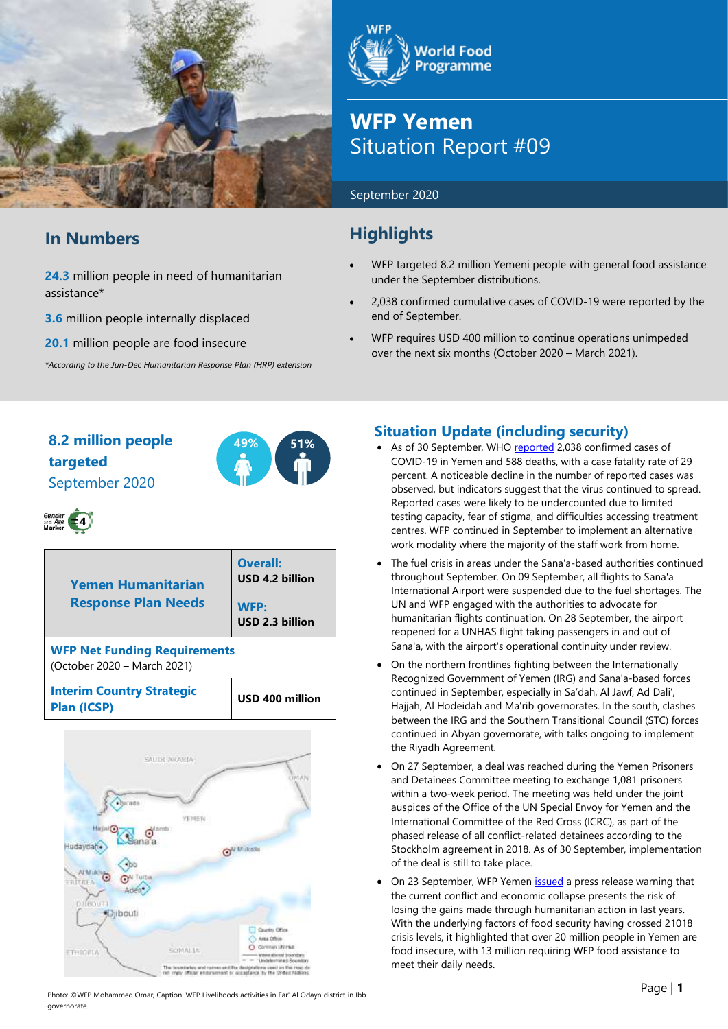

# **In Numbers**

**24.3** million people in need of humanitarian assistance\*

**3.6** million people internally displaced

**20.1** million people are food insecure

*\*According to the Jun-Dec Humanitarian Response Plan (HRP) extension*

**World Food Programme** 

# **WFP Yemen** Situation Report #09

#### September 2020

# **Highlights**

- WFP targeted 8.2 million Yemeni people with general food assistance under the September distributions.
- 2,038 confirmed cumulative cases of COVID-19 were reported by the end of September.
- WFP requires USD 400 million to continue operations unimpeded over the next six months (October 2020 – March 2021).

# **8.2 million people 49% 51% targeted** September 2020



# Gender<br>and Age (4)

| <b>Yemen Humanitarian</b>                                          | <b>Overall:</b><br>USD 4.2 billion |  |
|--------------------------------------------------------------------|------------------------------------|--|
| <b>Response Plan Needs</b>                                         | <b>WFP:</b><br>USD 2.3 billion     |  |
| <b>WFP Net Funding Requirements</b><br>(October 2020 - March 2021) |                                    |  |
| <b>Interim Country Strategic</b><br>Plan (ICSP)                    | USD 400 million                    |  |



## **Situation Update (including security)**

- As of 30 September, WH[O reported](https://app.powerbi.com/view?r=eyJrIjoiZjE2NzJjZDItNDgyZi00NDFkLWFlMjItNjA2MjIwMWYzODJkIiwidCI6ImY2MTBjMGI3LWJkMjQtNGIzOS04MTBiLTNkYzI4MGFmYjU5MCIsImMiOjh9) 2,038 confirmed cases of COVID-19 in Yemen and 588 deaths, with a case fatality rate of 29 percent. A noticeable decline in the number of reported cases was observed, but indicators suggest that the virus continued to spread. Reported cases were likely to be undercounted due to limited testing capacity, fear of stigma, and difficulties accessing treatment centres. WFP continued in September to implement an alternative work modality where the majority of the staff work from home.
- The fuel crisis in areas under the Sana'a-based authorities continued throughout September. On 09 September, all flights to Sana'a International Airport were suspended due to the fuel shortages. The UN and WFP engaged with the authorities to advocate for humanitarian flights continuation. On 28 September, the airport reopened for a UNHAS flight taking passengers in and out of Sana'a, with the airport's operational continuity under review.
- On the northern frontlines fighting between the Internationally Recognized Government of Yemen (IRG) and Sana'a-based forces continued in September, especially in Sa'dah, Al Jawf, Ad Dali', Hajjah, Al Hodeidah and Ma'rib governorates. In the south, clashes between the IRG and the Southern Transitional Council (STC) forces continued in Abyan governorate, with talks ongoing to implement the Riyadh Agreement.
- On 27 September, a deal was reached during the Yemen Prisoners and Detainees Committee meeting to exchange 1,081 prisoners within a two-week period. The meeting was held under the joint auspices of the Office of the UN Special Envoy for Yemen and the International Committee of the Red Cross (ICRC), as part of the phased release of all conflict-related detainees according to the Stockholm agreement in 2018. As of 30 September, implementation of the deal is still to take place.
- On 23 September, WFP Yeme[n issued](https://reliefweb.int/report/yemen/yemen-teeters-brink-conflict-and-economic-crises-grind) a press release warning that the current conflict and economic collapse presents the risk of losing the gains made through humanitarian action in last years. With the underlying factors of food security having crossed 21018 crisis levels, it highlighted that over 20 million people in Yemen are food insecure, with 13 million requiring WFP food assistance to meet their daily needs.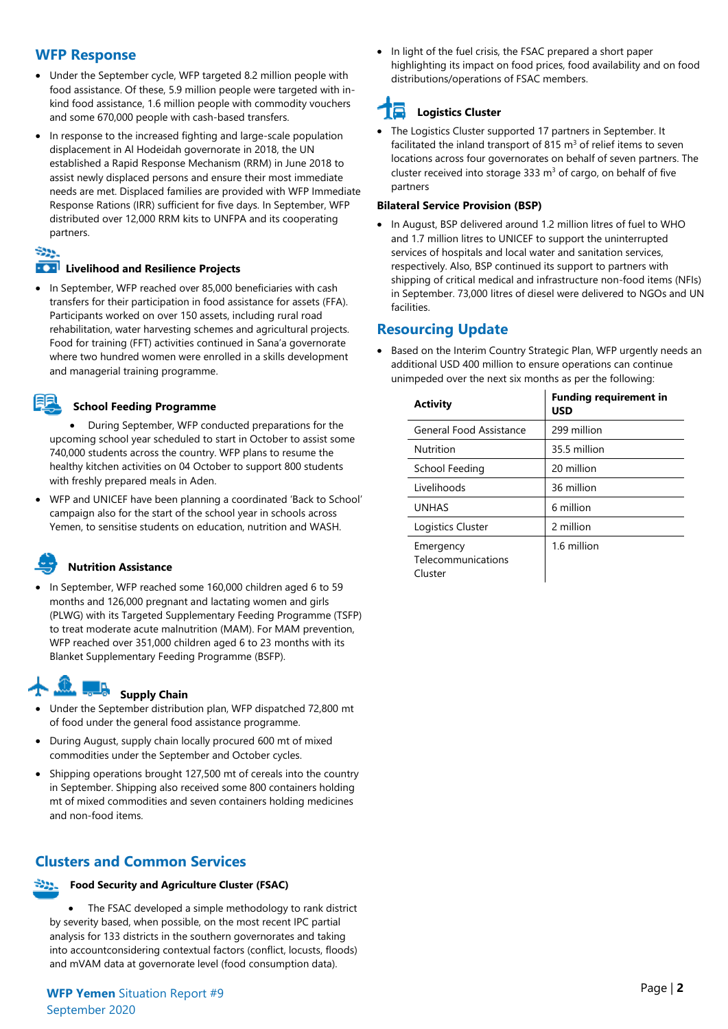## **WFP Response**

- Under the September cycle, WFP targeted 8.2 million people with food assistance. Of these, 5.9 million people were targeted with inkind food assistance, 1.6 million people with commodity vouchers and some 670,000 people with cash-based transfers.
- In response to the increased fighting and large-scale population displacement in Al Hodeidah governorate in 2018, the UN established a Rapid Response Mechanism (RRM) in June 2018 to assist newly displaced persons and ensure their most immediate needs are met. Displaced families are provided with WFP Immediate Response Rations (IRR) sufficient for five days. In September, WFP distributed over 12,000 RRM kits to UNFPA and its cooperating partners.

#### Ser.

#### **EXP** Livelihood and Resilience Projects

• In September, WFP reached over 85,000 beneficiaries with cash transfers for their participation in food assistance for assets (FFA). Participants worked on over 150 assets, including rural road rehabilitation, water harvesting schemes and agricultural projects. Food for training (FFT) activities continued in Sana'a governorate where two hundred women were enrolled in a skills development and managerial training programme.

#### **School Feeding Programme**

• During September, WFP conducted preparations for the upcoming school year scheduled to start in October to assist some 740,000 students across the country. WFP plans to resume the healthy kitchen activities on 04 October to support 800 students with freshly prepared meals in Aden.

• WFP and UNICEF have been planning a coordinated 'Back to School' campaign also for the start of the school year in schools across Yemen, to sensitise students on education, nutrition and WASH.

## **Nutrition Assistance**

• In September, WFP reached some 160,000 children aged 6 to 59 months and 126,000 pregnant and lactating women and girls (PLWG) with its Targeted Supplementary Feeding Programme (TSFP) to treat moderate acute malnutrition (MAM). For MAM prevention, WFP reached over 351,000 children aged 6 to 23 months with its Blanket Supplementary Feeding Programme (BSFP).

#### $\mathbf{D}$  and **Supply Chain**

- Under the September distribution plan, WFP dispatched 72,800 mt of food under the general food assistance programme.
- During August, supply chain locally procured 600 mt of mixed commodities under the September and October cycles.
- Shipping operations brought 127,500 mt of cereals into the country in September. Shipping also received some 800 containers holding mt of mixed commodities and seven containers holding medicines and non-food items.

# **Clusters and Common Services**



#### **Food Security and Agriculture Cluster (FSAC)**

The FSAC developed a simple methodology to rank district by severity based, when possible, on the most recent IPC partial analysis for 133 districts in the southern governorates and taking into accountconsidering contextual factors (conflict, locusts, floods) and mVAM data at governorate level (food consumption data).

• In light of the fuel crisis, the FSAC prepared a short paper highlighting its impact on food prices, food availability and on food distributions/operations of FSAC members.

#### 18 **Logistics Cluster**

• The Logistics Cluster supported 17 partners in September. It facilitated the inland transport of 815  $m<sup>3</sup>$  of relief items to seven locations across four governorates on behalf of seven partners. The cluster received into storage 333  $m<sup>3</sup>$  of cargo, on behalf of five partners

#### **Bilateral Service Provision (BSP)**

• In August, BSP delivered around 1.2 million litres of fuel to WHO and 1.7 million litres to UNICEF to support the uninterrupted services of hospitals and local water and sanitation services, respectively. Also, BSP continued its support to partners with shipping of critical medical and infrastructure non-food items (NFIs) in September. 73,000 litres of diesel were delivered to NGOs and UN facilities.

## **Resourcing Update**

• Based on the Interim Country Strategic Plan, WFP urgently needs an additional USD 400 million to ensure operations can continue unimpeded over the next six months as per the following:

| <b>Activity</b>                            | <b>Funding requirement in</b><br><b>USD</b> |
|--------------------------------------------|---------------------------------------------|
| General Food Assistance                    | 299 million                                 |
| Nutrition                                  | 35.5 million                                |
| School Feeding                             | 20 million                                  |
| Livelihoods                                | 36 million                                  |
| <b>UNHAS</b>                               | 6 million                                   |
| Logistics Cluster                          | 2 million                                   |
| Emergency<br>Telecommunications<br>Cluster | 1.6 million                                 |